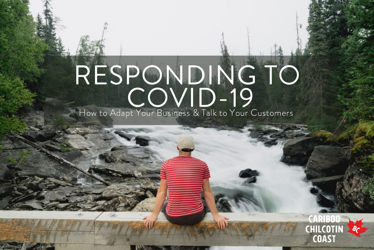## RESPONDING TO COVID-19<br>Ot Your Business & Talk to Your C How to Adapt Your Business & Talk to Your Customers

## CHILCOTIN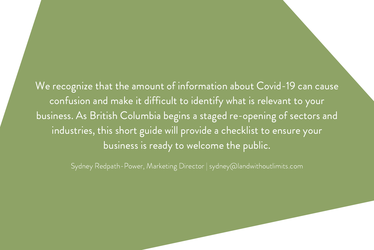We recognize that the amount of information about Covid-19 can cause confusion and make it difficult to identify what is relevant to your business. As British Columbia begins a staged re-opening of sectors and industries, this short guide will provide a checklist to ensure your business is ready to welcome the public.

Sydney Redpath-Power, Marketing Director | sydney@landwithoutlimits.com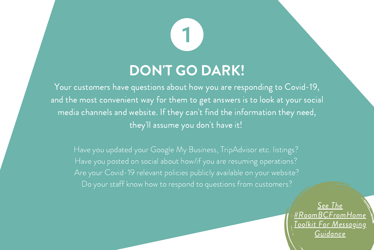#### DON'T GO DARK!

Your customers have questions about how you are responding to Covid-19, and the most convenient way for them to get answers is to look at your social media channels and website. If they can 't find the information they need, they 'll assume you don 't have it!

Have you updated your Google My Business, TripAdvisor etc. listings? Have you posted on social about how/if you are resuming operations? Are your Covid-19 relevant policies publicly available on your website? Do your staff know how to respond to questions from customers?

> See The [#RoamBCFromHome](https://tourismresiliency.ca/app/uploads/2020/05/BCRTS-SocialMediaToolkit-Provincial.pdf) Toolkit For Messaging Guidance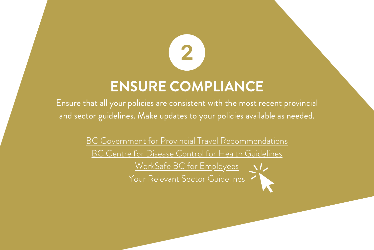# ENSURE COMPLIANCE

2

Ensure that all your policies are consistent with the most recent provincial and sector guidelines. Make updates to your policies available as needed.

> BC Government for Provincial Travel [Recommendations](https://www2.gov.bc.ca/gov/content/safety/emergency-preparedness-response-recovery/covid-19-provincial-support) BC Centre for Disease Control for Health [Guidelines](http://www.bccdc.ca/health-info/diseases-conditions/covid-19) WorkSafe BC for [Employees](https://www.worksafebc.com/en/resources/about-us/guides/preventing-exposure-to-covid-19-in-the-workplace?lang=en) Your Relevant Sector Guidelines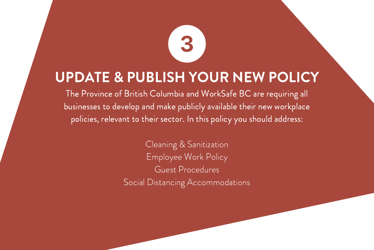#### UPDATE & PUBLISH YOUR NEW POLICY

3

The Province of British Columbia and WorkSafe BC are requiring all businesses to develop and make publicly available their new workplace policies, relevant to their sector. In this policy you should address:

> Cleaning & Sanitization Employee Work Policy Guest Procedures Social Distancing Accommodations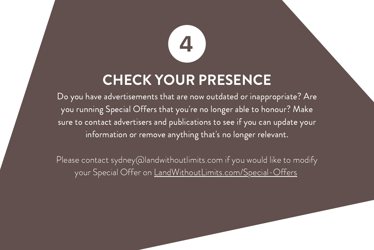### CHECK YOUR PRESENCE

Do you have advertisements that are now outdated or inappropriate? Are you running Special Offers that you 're no longer able to honour? Make sure to contact advertisers and publications to see if you can update your information or remove anything that' s no longer relevant.

Please contact sydney@landwithoutlimits.com if you would like to modify your Special Offer on [LandWithoutLimits.com/Special-Offers](https://landwithoutlimits.com/special-offers/)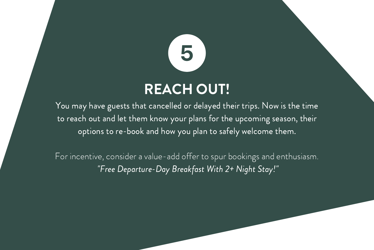# REACH OUT!

You may have guests that cancelled or delayed their trips. Now is the time to reach out and let them know your plans for the upcoming season, their options to re-book and how you plan to safely welcome them.

For incentive, consider a value-add offer to spur bookings and enthusiasm. "Free Departure-Day Breakfast With 2+ Night Stay!"